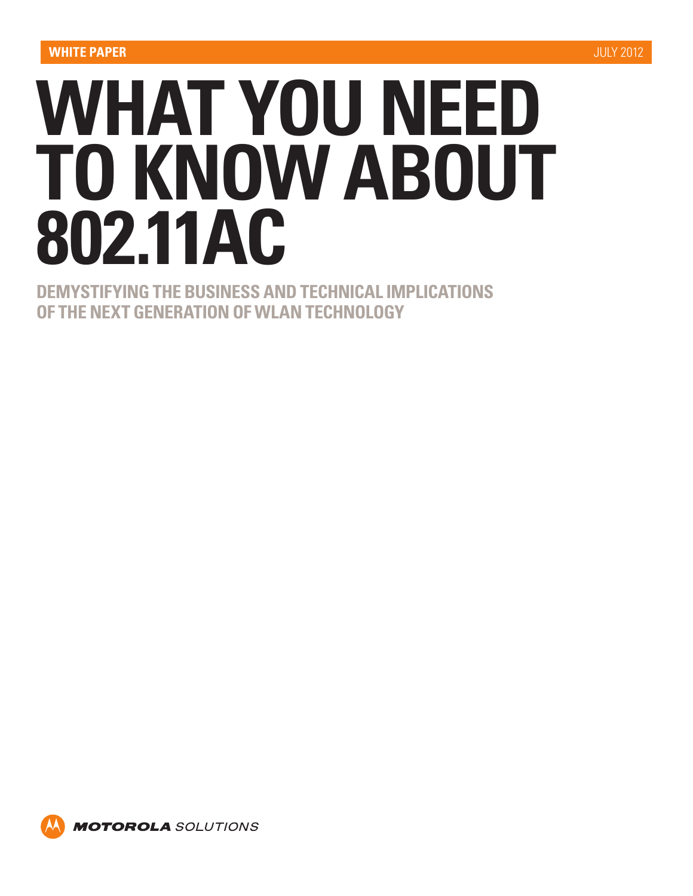# **WHAT YOU NEED TO KNOW ABOUT 802.11AC**

**DEMYSTIFYING THE BUSINESS AND TECHNICAL IMPLICATIONS OF THE NEXT GENERATION OF WLAN TECHNOLOGY**

**MOTOROLA** SOLUTIONS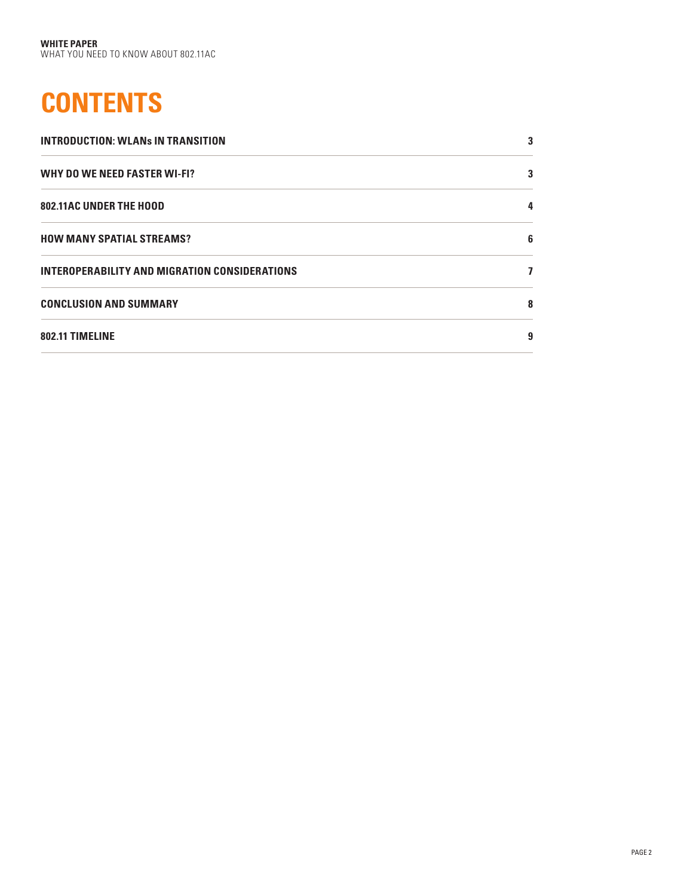# **CONTENTS**

| <b>INTRODUCTION: WLANS IN TRANSITION</b>             | 3 |
|------------------------------------------------------|---|
| <b>WHY DO WE NEED FASTER WI-FI?</b>                  | 3 |
| <b>802.11AC UNDER THE HOOD</b>                       |   |
| <b>HOW MANY SPATIAL STREAMS?</b>                     | 6 |
| <b>INTEROPERABILITY AND MIGRATION CONSIDERATIONS</b> |   |
| <b>CONCLUSION AND SUMMARY</b>                        | 8 |
| 802.11 TIMELINE                                      | 9 |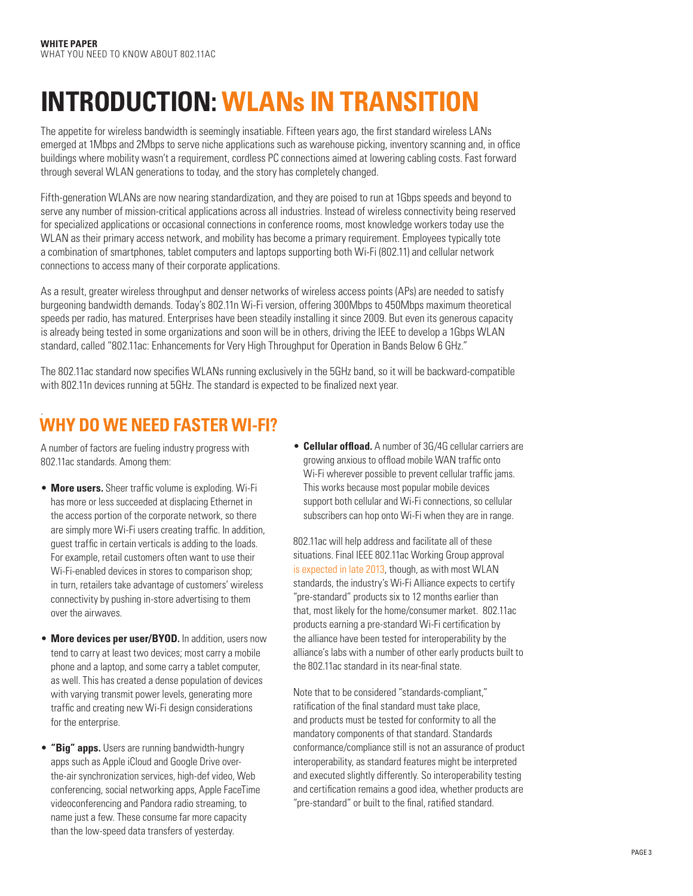## **INTRODUCTION: WLANs IN TRANSITION**

The appetite for wireless bandwidth is seemingly insatiable. Fifteen years ago, the first standard wireless LANs emerged at 1Mbps and 2Mbps to serve niche applications such as warehouse picking, inventory scanning and, in office buildings where mobility wasn't a requirement, cordless PC connections aimed at lowering cabling costs. Fast forward through several WLAN generations to today, and the story has completely changed.

Fifth-generation WLANs are now nearing standardization, and they are poised to run at 1Gbps speeds and beyond to serve any number of mission-critical applications across all industries. Instead of wireless connectivity being reserved for specialized applications or occasional connections in conference rooms, most knowledge workers today use the WLAN as their primary access network, and mobility has become a primary requirement. Employees typically tote a combination of smartphones, tablet computers and laptops supporting both Wi-Fi (802.11) and cellular network connections to access many of their corporate applications.

As a result, greater wireless throughput and denser networks of wireless access points (APs) are needed to satisfy burgeoning bandwidth demands. Today's 802.11n Wi-Fi version, offering 300Mbps to 450Mbps maximum theoretical speeds per radio, has matured. Enterprises have been steadily installing it since 2009. But even its generous capacity is already being tested in some organizations and soon will be in others, driving the IEEE to develop a 1Gbps WLAN standard, called "802.11ac: Enhancements for Very High Throughput for Operation in Bands Below 6 GHz."

The 802.11ac standard now specifies WLANs running exclusively in the 5GHz band, so it will be backward-compatible with 802.11n devices running at 5GHz. The standard is expected to be finalized next year.

## . **WHY DO WE NEED FASTER WI-FI?**

A number of factors are fueling industry progress with 802.11ac standards. Among them:

- • **More users.** Sheer traffic volume is exploding. Wi-Fi has more or less succeeded at displacing Ethernet in the access portion of the corporate network, so there are simply more Wi-Fi users creating traffic. In addition, guest traffic in certain verticals is adding to the loads. For example, retail customers often want to use their Wi-Fi-enabled devices in stores to comparison shop; in turn, retailers take advantage of customers' wireless connectivity by pushing in-store advertising to them over the airwaves.
- **More devices per user/BYOD.** In addition, users now tend to carry at least two devices; most carry a mobile phone and a laptop, and some carry a tablet computer, as well. This has created a dense population of devices with varying transmit power levels, generating more traffic and creating new Wi-Fi design considerations for the enterprise.
- • **"Big" apps.** Users are running bandwidth-hungry apps such as Apple iCloud and Google Drive overthe-air synchronization services, high-def video, Web conferencing, social networking apps, Apple FaceTime videoconferencing and Pandora radio streaming, to name just a few. These consume far more capacity than the low-speed data transfers of yesterday.

• **Cellular offload.** A number of 3G/4G cellular carriers are growing anxious to offload mobile WAN traffic onto Wi-Fi wherever possible to prevent cellular traffic jams. This works because most popular mobile devices support both cellular and Wi-Fi connections, so cellular subscribers can hop onto Wi-Fi when they are in range.

802.11ac will help address and facilitate all of these situations. Final IEEE 802.11ac Working Group approval [is expected in late 2013,](http://www.ieee802.org/11/Reports/802.11_Timelines.htm) though, as with most WLAN standards, the industry's Wi-Fi Alliance expects to certify "pre-standard" products six to 12 months earlier than that, most likely for the home/consumer market. 802.11ac products earning a pre-standard Wi-Fi certification by the alliance have been tested for interoperability by the alliance's labs with a number of other early products built to the 802.11ac standard in its near-final state.

Note that to be considered "standards-compliant," ratification of the final standard must take place, and products must be tested for conformity to all the mandatory components of that standard. Standards conformance/compliance still is not an assurance of product interoperability, as standard features might be interpreted and executed slightly differently. So interoperability testing and certification remains a good idea, whether products are "pre-standard" or built to the final, ratified standard.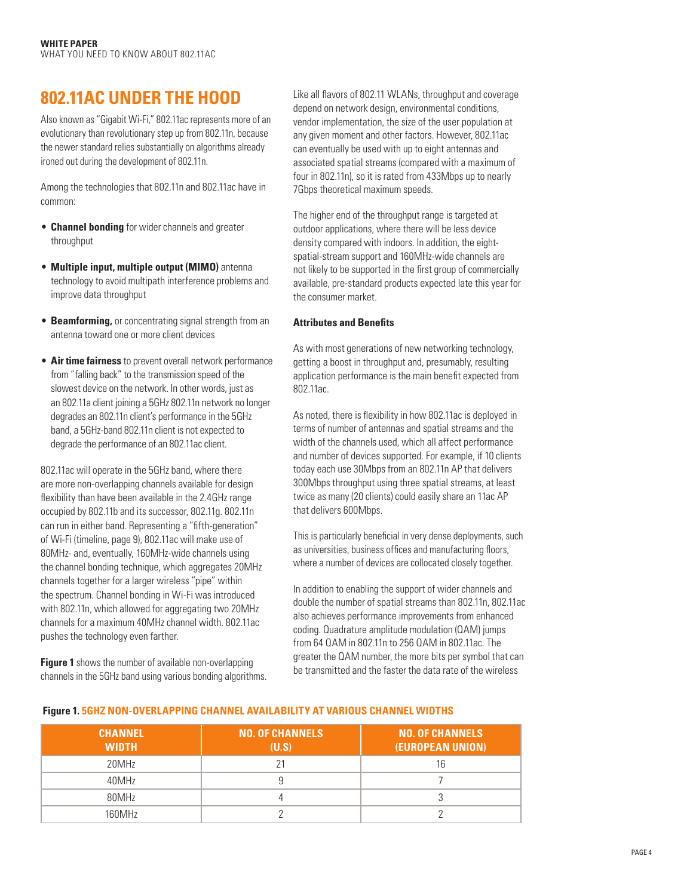## **802.11AC UNDER THE HOOD**

Also known as "Gigabit Wi-Fi," 802.11ac represents more of an evolutionary than revolutionary step up from 802.11n, because the newer standard relies substantially on algorithms already ironed out during the development of 802.11n.

Among the technologies that 802.11n and 802.11ac have in common:

- **Channel bonding** for wider channels and greater throughput
- • **Multiple input, multiple output (MIMO)** antenna technology to avoid multipath interference problems and improve data throughput
- **Beamforming,** or concentrating signal strength from an antenna toward one or more client devices
- **Air time fairness** to prevent overall network performance from "falling back" to the transmission speed of the slowest device on the network. In other words, just as an 802.11a client joining a 5GHz 802.11n network no longer degrades an 802.11n client's performance in the 5GHz band, a 5GHz-band 802.11n client is not expected to degrade the performance of an 802.11ac client.

802.11ac will operate in the 5GHz band, where there are more non-overlapping channels available for design flexibility than have been available in the 2.4GHz range occupied by 802.11b and its successor, 802.11g. 802.11n can run in either band. Representing a "fifth-generation" of Wi-Fi (timeline, page 9), 802.11ac will make use of 80MHz- and, eventually, 160MHz-wide channels using the channel bonding technique, which aggregates 20MHz channels together for a larger wireless "pipe" within the spectrum. Channel bonding in Wi-Fi was introduced with 802.11n, which allowed for aggregating two 20MHz channels for a maximum 40MHz channel width. 802.11ac pushes the technology even farther.

**Figure 1** shows the number of available non-overlapping channels in the 5GHz band using various bonding algorithms. Like all flavors of 802.11 WLANs, throughput and coverage depend on network design, environmental conditions, vendor implementation, the size of the user population at any given moment and other factors. However, 802.11ac can eventually be used with up to eight antennas and associated spatial streams (compared with a maximum of four in 802.11n), so it is rated from 433Mbps up to nearly 7Gbps theoretical maximum speeds.

The higher end of the throughput range is targeted at outdoor applications, where there will be less device density compared with indoors. In addition, the eightspatial-stream support and 160MHz-wide channels are not likely to be supported in the first group of commercially available, pre-standard products expected late this year for the consumer market.

#### **Attributes and Benefits**

As with most generations of new networking technology, getting a boost in throughput and, presumably, resulting application performance is the main benefit expected from 802.11ac.

As noted, there is flexibility in how 802.11ac is deployed in terms of number of antennas and spatial streams and the width of the channels used, which all affect performance and number of devices supported. For example, if 10 clients today each use 30Mbps from an 802.11n AP that delivers 300Mbps throughput using three spatial streams, at least twice as many (20 clients) could easily share an 11ac AP that delivers 600Mbps.

This is particularly beneficial in very dense deployments, such as universities, business offices and manufacturing floors, where a number of devices are collocated closely together.

In addition to enabling the support of wider channels and double the number of spatial streams than 802.11n, 802.11ac also achieves performance improvements from enhanced coding. Quadrature amplitude modulation (QAM) jumps from 64 QAM in 802.11n to 256 QAM in 802.11ac. The greater the QAM number, the more bits per symbol that can be transmitted and the faster the data rate of the wireless

| <b>CHANNEL</b><br><b>WIDTH</b> | <b>NO. OF CHANNELS</b><br>(U.S) | <b>NO. OF CHANNELS</b><br>(EUROPEAN UNION) |
|--------------------------------|---------------------------------|--------------------------------------------|
| 20MHz                          | 21                              | 16                                         |
| 40MHz                          |                                 |                                            |
| 80MHz                          |                                 |                                            |
| 160MHz                         |                                 |                                            |

## **Figure 1. 5GHZ NON-OVERLAPPING CHANNEL AVAILABILITY AT VARIOUS CHANNEL WIDTHS**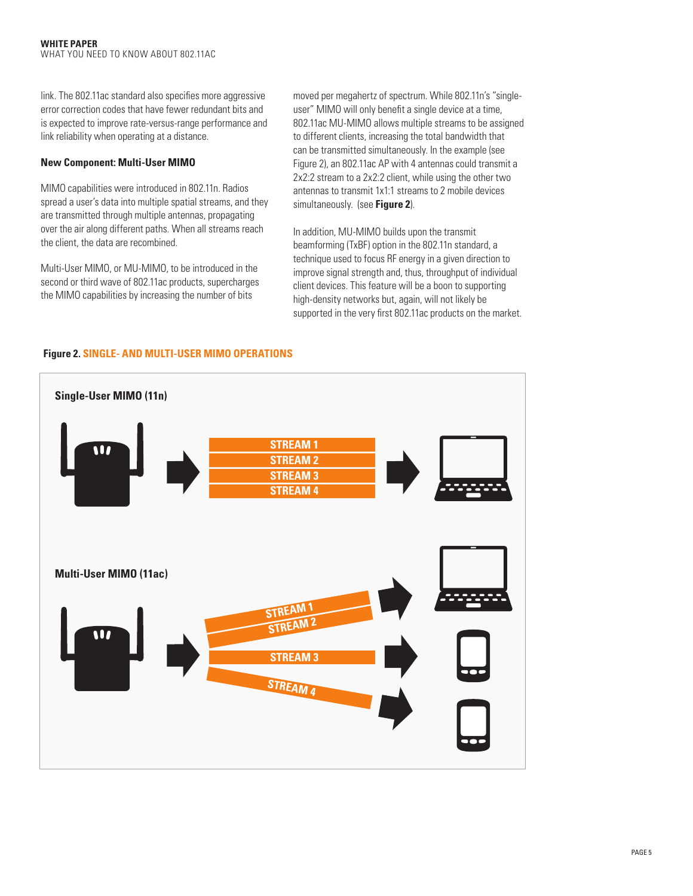link. The 802,11ac standard also specifies more aggressive error correction codes that have fewer redundant bits and is expected to improve rate-versus-range performance and link reliability when operating at a distance.

#### **New Component: Multi-User MIMO**

MIMO capabilities were introduced in 802.11n. Radios spread a user's data into multiple spatial streams, and they are transmitted through multiple antennas, propagating over the air along different paths. When all streams reach the client, the data are recombined.

Multi-User MIMO, or MU-MIMO, to be introduced in the second or third wave of 802.11ac products, supercharges the MIMO capabilities by increasing the number of bits

moved per megahertz of spectrum. While 802.11n's "singleuser" MIMO will only benefit a single device at a time, 802.11ac MU-MIMO allows multiple streams to be assigned to different clients, increasing the total bandwidth that can be transmitted simultaneously. In the example (see Figure 2), an 802.11ac AP with 4 antennas could transmit a 2x2:2 stream to a 2x2:2 client, while using the other two antennas to transmit 1x1:1 streams to 2 mobile devices simultaneously. (see **Figure 2**).

In addition, MU-MIMO builds upon the transmit beamforming (TxBF) option in the 802.11n standard, a technique used to focus RF energy in a given direction to improve signal strength and, thus, throughput of individual client devices. This feature will be a boon to supporting high-density networks but, again, will not likely be supported in the very first 802.11ac products on the market.



## **Figure 2. SINGLE- AND MULTI-USER MIMO OPERATIONS**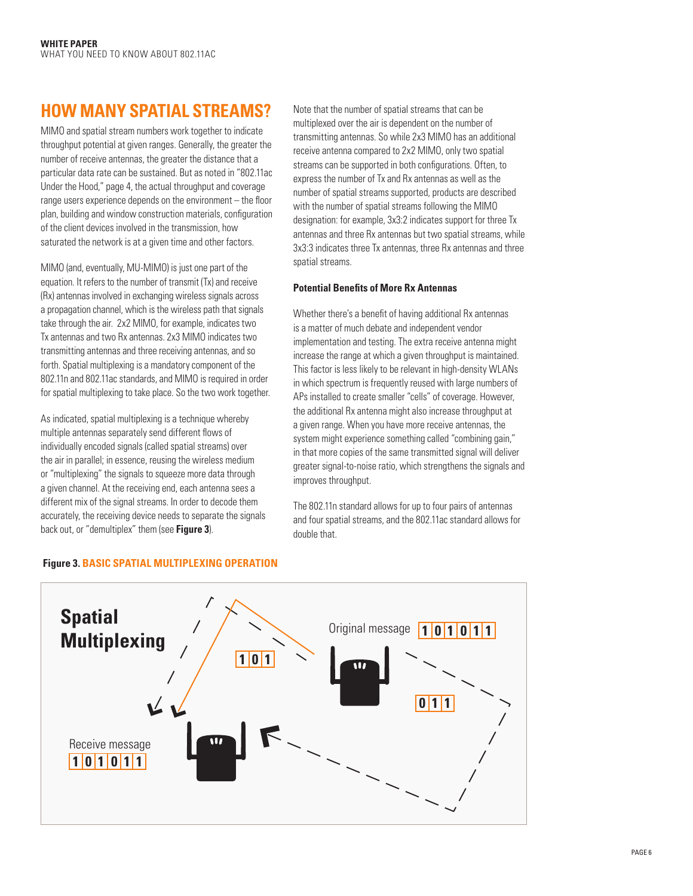## **HOW MANY SPATIAL STREAMS?**

MIMO and spatial stream numbers work together to indicate throughput potential at given ranges. Generally, the greater the number of receive antennas, the greater the distance that a particular data rate can be sustained. But as noted in "802.11ac Under the Hood," page 4, the actual throughput and coverage range users experience depends on the environment – the floor plan, building and window construction materials, configuration of the client devices involved in the transmission, how saturated the network is at a given time and other factors.

MIMO (and, eventually, MU-MIMO) is just one part of the equation. It refers to the number of transmit (Tx) and receive (Rx) antennas involved in exchanging wireless signals across a propagation channel, which is the wireless path that signals take through the air. 2x2 MIMO, for example, indicates two Tx antennas and two Rx antennas. 2x3 MIMO indicates two transmitting antennas and three receiving antennas, and so forth. Spatial multiplexing is a mandatory component of the 802.11n and 802.11ac standards, and MIMO is required in order for spatial multiplexing to take place. So the two work together.

As indicated, spatial multiplexing is a technique whereby multiple antennas separately send different flows of individually encoded signals (called spatial streams) over the air in parallel; in essence, reusing the wireless medium or "multiplexing" the signals to squeeze more data through a given channel. At the receiving end, each antenna sees a different mix of the signal streams. In order to decode them accurately, the receiving device needs to separate the signals back out, or "demultiplex" them (see **Figure 3**).

Note that the number of spatial streams that can be multiplexed over the air is dependent on the number of transmitting antennas. So while 2x3 MIMO has an additional receive antenna compared to 2x2 MIMO, only two spatial streams can be supported in both configurations. Often, to express the number of Tx and Rx antennas as well as the number of spatial streams supported, products are described with the number of spatial streams following the MIMO designation: for example, 3x3:2 indicates support for three Tx antennas and three Rx antennas but two spatial streams, while 3x3:3 indicates three Tx antennas, three Rx antennas and three spatial streams.

## **Potential Benefits of More Rx Antennas**

Whether there's a benefit of having additional Rx antennas is a matter of much debate and independent vendor implementation and testing. The extra receive antenna might increase the range at which a given throughput is maintained. This factor is less likely to be relevant in high-density WLANs in which spectrum is frequently reused with large numbers of APs installed to create smaller "cells" of coverage. However, the additional Rx antenna might also increase throughput at a given range. When you have more receive antennas, the system might experience something called "combining gain," in that more copies of the same transmitted signal will deliver greater signal-to-noise ratio, which strengthens the signals and improves throughput.

The 802.11n standard allows for up to four pairs of antennas and four spatial streams, and the 802.11ac standard allows for double that.



## **Figure 3. BASIC SPATIAL MULTIPLEXING OPERATION**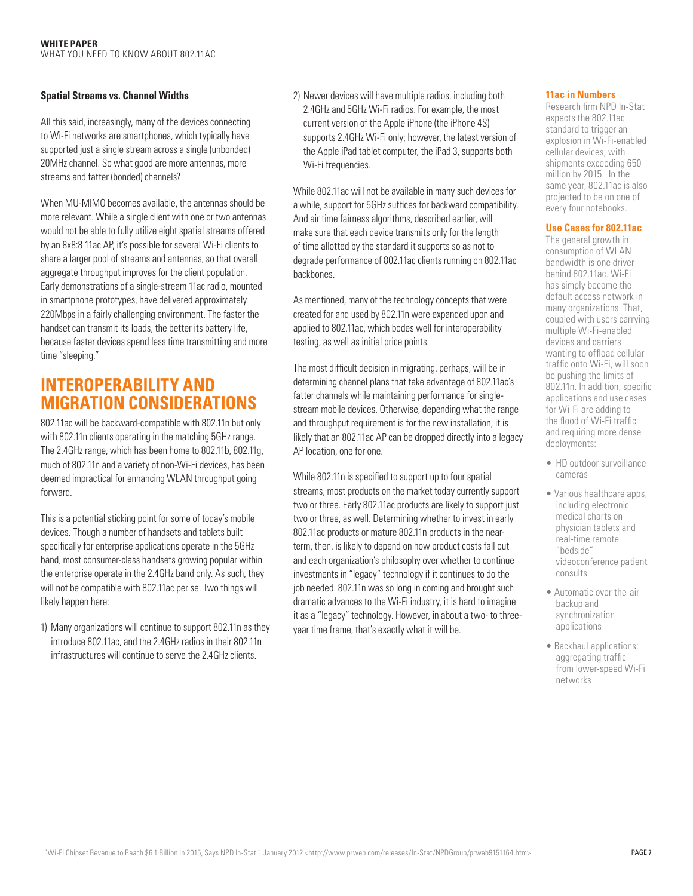#### **Spatial Streams vs. Channel Widths**

All this said, increasingly, many of the devices connecting to Wi-Fi networks are smartphones, which typically have supported just a single stream across a single (unbonded) 20MHz channel. So what good are more antennas, more streams and fatter (bonded) channels?

When MU-MIMO becomes available, the antennas should be more relevant. While a single client with one or two antennas would not be able to fully utilize eight spatial streams offered by an 8x8:8 11ac AP, it's possible for several Wi-Fi clients to share a larger pool of streams and antennas, so that overall aggregate throughput improves for the client population. Early demonstrations of a single-stream 11ac radio, mounted in smartphone prototypes, have delivered approximately 220Mbps in a fairly challenging environment. The faster the handset can transmit its loads, the better its battery life, because faster devices spend less time transmitting and more time "sleeping."

## **INTEROPERABILITY AND MIGRATION CONSIDERATIONS**

802.11ac will be backward-compatible with 802.11n but only with 802.11n clients operating in the matching 5GHz range. The 2.4GHz range, which has been home to 802.11b, 802.11g, much of 802.11n and a variety of non-Wi-Fi devices, has been deemed impractical for enhancing WLAN throughput going forward.

This is a potential sticking point for some of today's mobile devices. Though a number of handsets and tablets built specifically for enterprise applications operate in the 5GHz band, most consumer-class handsets growing popular within the enterprise operate in the 2.4GHz band only. As such, they will not be compatible with 802.11ac per se. Two things will likely happen here:

1) Many organizations will continue to support 802.11n as they introduce 802.11ac, and the 2.4GHz radios in their 802.11n infrastructures will continue to serve the 2.4GHz clients.

2) Newer devices will have multiple radios, including both 2.4GHz and 5GHz Wi-Fi radios. For example, the most current version of the Apple iPhone (the iPhone 4S) supports 2.4GHz Wi-Fi only; however, the latest version of the Apple iPad tablet computer, the iPad 3, supports both Wi-Fi frequencies.

While 802.11ac will not be available in many such devices for a while, support for 5GHz suffices for backward compatibility. And air time fairness algorithms, described earlier, will make sure that each device transmits only for the length of time allotted by the standard it supports so as not to degrade performance of 802.11ac clients running on 802.11ac backbones.

As mentioned, many of the technology concepts that were created for and used by 802.11n were expanded upon and applied to 802.11ac, which bodes well for interoperability testing, as well as initial price points.

The most difficult decision in migrating, perhaps, will be in determining channel plans that take advantage of 802.11ac's fatter channels while maintaining performance for singlestream mobile devices. Otherwise, depending what the range and throughput requirement is for the new installation, it is likely that an 802.11ac AP can be dropped directly into a legacy AP location, one for one.

While 802.11n is specified to support up to four spatial streams, most products on the market today currently support two or three. Early 802.11ac products are likely to support just two or three, as well. Determining whether to invest in early 802.11ac products or mature 802.11n products in the nearterm, then, is likely to depend on how product costs fall out and each organization's philosophy over whether to continue investments in "legacy" technology if it continues to do the job needed. 802.11n was so long in coming and brought such dramatic advances to the Wi-Fi industry, it is hard to imagine it as a "legacy" technology. However, in about a two- to threeyear time frame, that's exactly what it will be.

#### **11ac in Numbers**

Research firm NPD In-Stat expects the 802.11ac standard to trigger an explosion in Wi-Fi-enabled cellular devices, with shipments exceeding 650 million by 2015. In the same year, 802.11ac is also projected to be on one of every four notebooks.

#### **Use Cases for 802.11ac**

The general growth in consumption of WLAN bandwidth is one driver behind 802.11ac. Wi-Fi has simply become the default access network in many organizations. That, coupled with users carrying multiple Wi-Fi-enabled devices and carriers wanting to offload cellular traffic onto Wi-Fi, will soon be pushing the limits of 802.11n. In addition, specific applications and use cases for Wi-Fi are adding to the flood of Wi-Fi traffic and requiring more dense deployments:

- HD outdoor surveillance cameras
- Various healthcare apps, including electronic medical charts on physician tablets and real-time remote "bedside" videoconference patient consults
- Automatic over-the-air backup and synchronization applications
- Backhaul applications; aggregating traffic from lower-speed Wi-Fi networks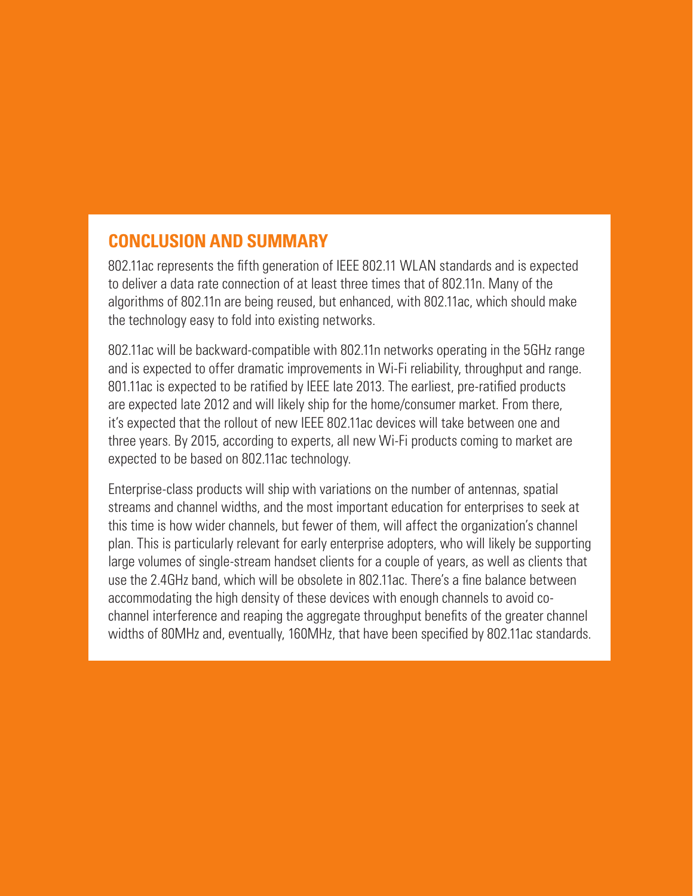## **CONCLUSION AND SUMMARY**

802.11ac represents the fifth generation of IEEE 802.11 WLAN standards and is expected to deliver a data rate connection of at least three times that of 802.11n. Many of the algorithms of 802.11n are being reused, but enhanced, with 802.11ac, which should make the technology easy to fold into existing networks.

802.11ac will be backward-compatible with 802.11n networks operating in the 5GHz range and is expected to offer dramatic improvements in Wi-Fi reliability, throughput and range. 801.11ac is expected to be ratified by IEEE late 2013. The earliest, pre-ratified products are expected late 2012 and will likely ship for the home/consumer market. From there, it's expected that the rollout of new IEEE 802.11ac devices will take between one and three years. By 2015, according to experts, all new Wi-Fi products coming to market are expected to be based on 802.11ac technology.

Enterprise-class products will ship with variations on the number of antennas, spatial streams and channel widths, and the most important education for enterprises to seek at this time is how wider channels, but fewer of them, will affect the organization's channel plan. This is particularly relevant for early enterprise adopters, who will likely be supporting large volumes of single-stream handset clients for a couple of years, as well as clients that use the 2.4GHz band, which will be obsolete in 802.11ac. There's a fine balance between accommodating the high density of these devices with enough channels to avoid cochannel interference and reaping the aggregate throughput benefits of the greater channel widths of 80MHz and, eventually, 160MHz, that have been specified by 802.11ac standards.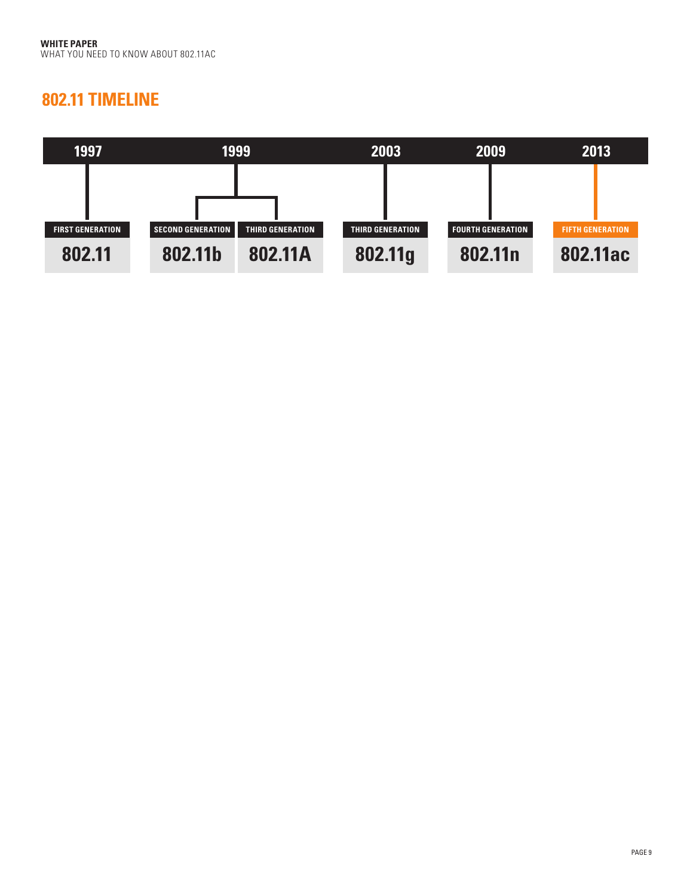## **802.11 TIMELINE**